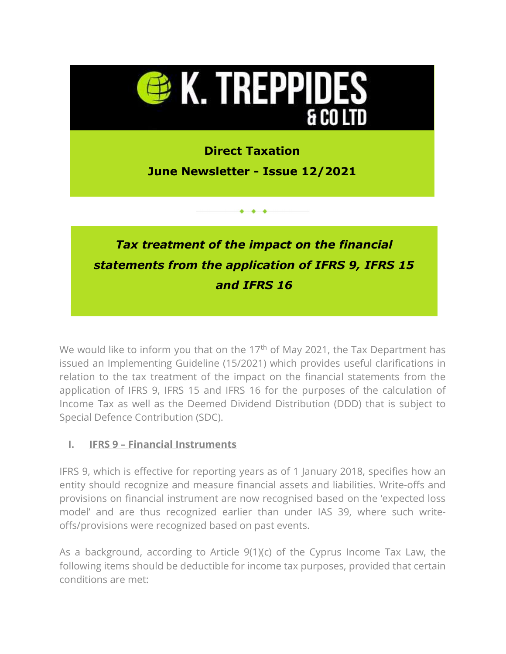

# statements from the application of IFRS 9, IFRS 15 and IFRS 16

We would like to inform you that on the  $17<sup>th</sup>$  of May 2021, the Tax Department has issued an Implementing Guideline (15/2021) which provides useful clarifications in relation to the tax treatment of the impact on the financial statements from the application of IFRS 9, IFRS 15 and IFRS 16 for the purposes of the calculation of Income Tax as well as the Deemed Dividend Distribution (DDD) that is subject to Special Defence Contribution (SDC).

# I. IFRS 9 – Financial Instruments

IFRS 9, which is effective for reporting years as of 1 January 2018, specifies how an entity should recognize and measure financial assets and liabilities. Write-offs and provisions on financial instrument are now recognised based on the 'expected loss model' and are thus recognized earlier than under IAS 39, where such writeoffs/provisions were recognized based on past events.

As a background, according to Article 9(1)(c) of the Cyprus Income Tax Law, the following items should be deductible for income tax purposes, provided that certain conditions are met: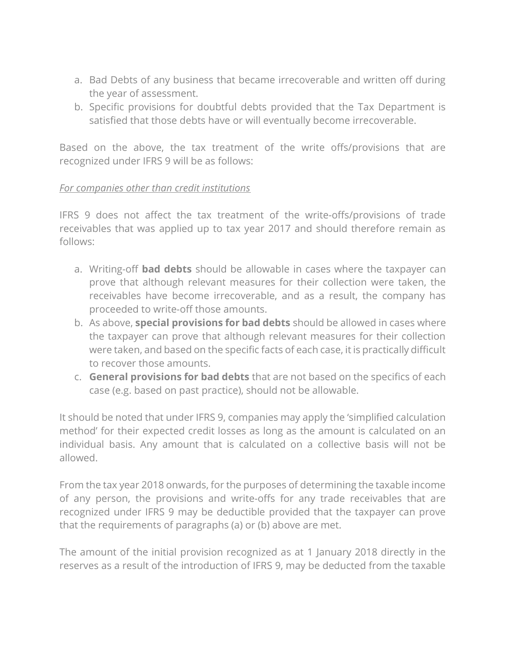- a. Bad Debts of any business that became irrecoverable and written off during the year of assessment.
- b. Specific provisions for doubtful debts provided that the Tax Department is satisfied that those debts have or will eventually become irrecoverable.

Based on the above, the tax treatment of the write offs/provisions that are recognized under IFRS 9 will be as follows:

#### For companies other than credit institutions

IFRS 9 does not affect the tax treatment of the write-offs/provisions of trade receivables that was applied up to tax year 2017 and should therefore remain as follows:

- a. Writing-off **bad debts** should be allowable in cases where the taxpayer can prove that although relevant measures for their collection were taken, the receivables have become irrecoverable, and as a result, the company has proceeded to write-off those amounts.
- b. As above, special provisions for bad debts should be allowed in cases where the taxpayer can prove that although relevant measures for their collection were taken, and based on the specific facts of each case, it is practically difficult to recover those amounts.
- c. General provisions for bad debts that are not based on the specifics of each case (e.g. based on past practice), should not be allowable.

It should be noted that under IFRS 9, companies may apply the 'simplified calculation method' for their expected credit losses as long as the amount is calculated on an individual basis. Any amount that is calculated on a collective basis will not be allowed.

From the tax year 2018 onwards, for the purposes of determining the taxable income of any person, the provisions and write-offs for any trade receivables that are recognized under IFRS 9 may be deductible provided that the taxpayer can prove that the requirements of paragraphs (a) or (b) above are met.

The amount of the initial provision recognized as at 1 January 2018 directly in the reserves as a result of the introduction of IFRS 9, may be deducted from the taxable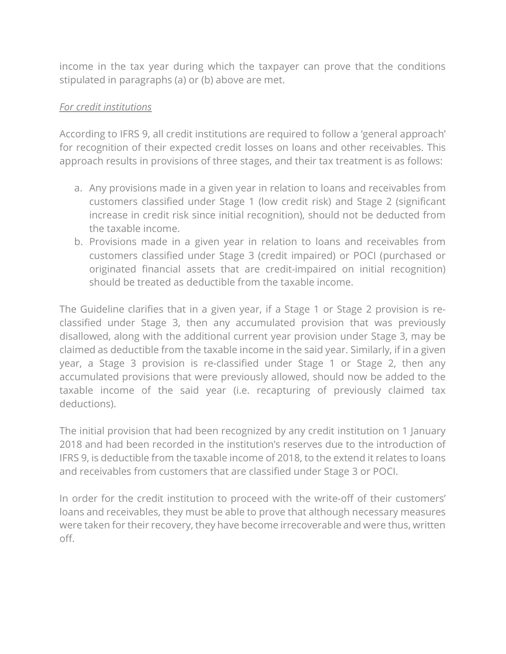income in the tax year during which the taxpayer can prove that the conditions stipulated in paragraphs (a) or (b) above are met.

#### For credit institutions

According to IFRS 9, all credit institutions are required to follow a 'general approach' for recognition of their expected credit losses on loans and other receivables. This approach results in provisions of three stages, and their tax treatment is as follows:

- a. Any provisions made in a given year in relation to loans and receivables from customers classified under Stage 1 (low credit risk) and Stage 2 (significant increase in credit risk since initial recognition), should not be deducted from the taxable income.
- b. Provisions made in a given year in relation to loans and receivables from customers classified under Stage 3 (credit impaired) or POCI (purchased or originated financial assets that are credit-impaired on initial recognition) should be treated as deductible from the taxable income.

The Guideline clarifies that in a given year, if a Stage 1 or Stage 2 provision is reclassified under Stage 3, then any accumulated provision that was previously disallowed, along with the additional current year provision under Stage 3, may be claimed as deductible from the taxable income in the said year. Similarly, if in a given year, a Stage 3 provision is re-classified under Stage 1 or Stage 2, then any accumulated provisions that were previously allowed, should now be added to the taxable income of the said year (i.e. recapturing of previously claimed tax deductions).

The initial provision that had been recognized by any credit institution on 1 January 2018 and had been recorded in the institution's reserves due to the introduction of IFRS 9, is deductible from the taxable income of 2018, to the extend it relates to loans and receivables from customers that are classified under Stage 3 or POCI.

In order for the credit institution to proceed with the write-off of their customers' loans and receivables, they must be able to prove that although necessary measures were taken for their recovery, they have become irrecoverable and were thus, written off.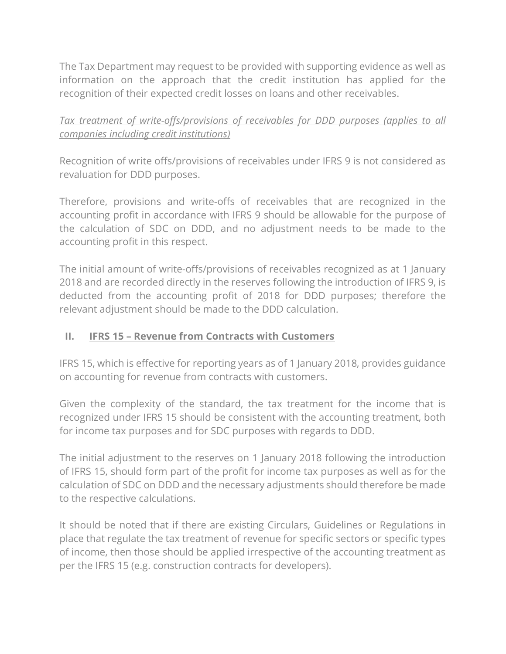The Tax Department may request to be provided with supporting evidence as well as information on the approach that the credit institution has applied for the recognition of their expected credit losses on loans and other receivables.

# Tax treatment of write-offs/provisions of receivables for DDD purposes (applies to all companies including credit institutions)

Recognition of write offs/provisions of receivables under IFRS 9 is not considered as revaluation for DDD purposes.

Therefore, provisions and write-offs of receivables that are recognized in the accounting profit in accordance with IFRS 9 should be allowable for the purpose of the calculation of SDC on DDD, and no adjustment needs to be made to the accounting profit in this respect.

The initial amount of write-offs/provisions of receivables recognized as at 1 January 2018 and are recorded directly in the reserves following the introduction of IFRS 9, is deducted from the accounting profit of 2018 for DDD purposes; therefore the relevant adjustment should be made to the DDD calculation.

# II. IFRS 15 – Revenue from Contracts with Customers

IFRS 15, which is effective for reporting years as of 1 January 2018, provides guidance on accounting for revenue from contracts with customers.

Given the complexity of the standard, the tax treatment for the income that is recognized under IFRS 15 should be consistent with the accounting treatment, both for income tax purposes and for SDC purposes with regards to DDD.

The initial adjustment to the reserves on 1 January 2018 following the introduction of IFRS 15, should form part of the profit for income tax purposes as well as for the calculation of SDC on DDD and the necessary adjustments should therefore be made to the respective calculations.

It should be noted that if there are existing Circulars, Guidelines or Regulations in place that regulate the tax treatment of revenue for specific sectors or specific types of income, then those should be applied irrespective of the accounting treatment as per the IFRS 15 (e.g. construction contracts for developers).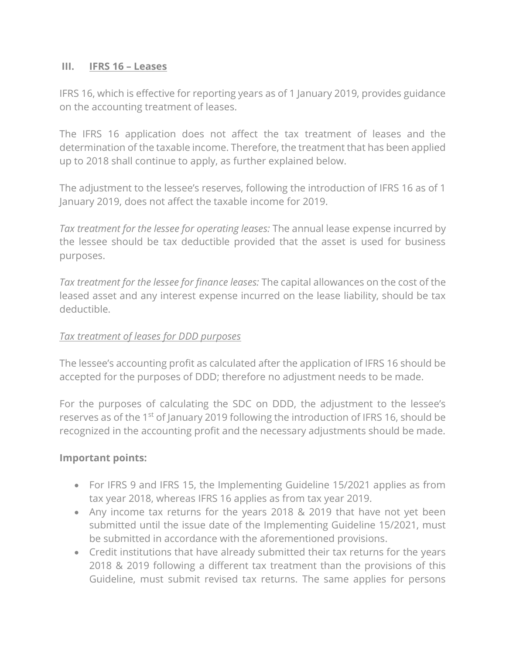#### III. IFRS 16 – Leases

IFRS 16, which is effective for reporting years as of 1 January 2019, provides guidance on the accounting treatment of leases.

The IFRS 16 application does not affect the tax treatment of leases and the determination of the taxable income. Therefore, the treatment that has been applied up to 2018 shall continue to apply, as further explained below.

The adjustment to the lessee's reserves, following the introduction of IFRS 16 as of 1 January 2019, does not affect the taxable income for 2019.

Tax treatment for the lessee for operating leases: The annual lease expense incurred by the lessee should be tax deductible provided that the asset is used for business purposes.

Tax treatment for the lessee for finance leases: The capital allowances on the cost of the leased asset and any interest expense incurred on the lease liability, should be tax deductible.

#### Tax treatment of leases for DDD purposes

The lessee's accounting profit as calculated after the application of IFRS 16 should be accepted for the purposes of DDD; therefore no adjustment needs to be made.

For the purposes of calculating the SDC on DDD, the adjustment to the lessee's reserves as of the 1<sup>st</sup> of January 2019 following the introduction of IFRS 16, should be recognized in the accounting profit and the necessary adjustments should be made.

#### Important points:

- For IFRS 9 and IFRS 15, the Implementing Guideline 15/2021 applies as from tax year 2018, whereas IFRS 16 applies as from tax year 2019.
- Any income tax returns for the years 2018 & 2019 that have not yet been submitted until the issue date of the Implementing Guideline 15/2021, must be submitted in accordance with the aforementioned provisions.
- Credit institutions that have already submitted their tax returns for the years 2018 & 2019 following a different tax treatment than the provisions of this Guideline, must submit revised tax returns. The same applies for persons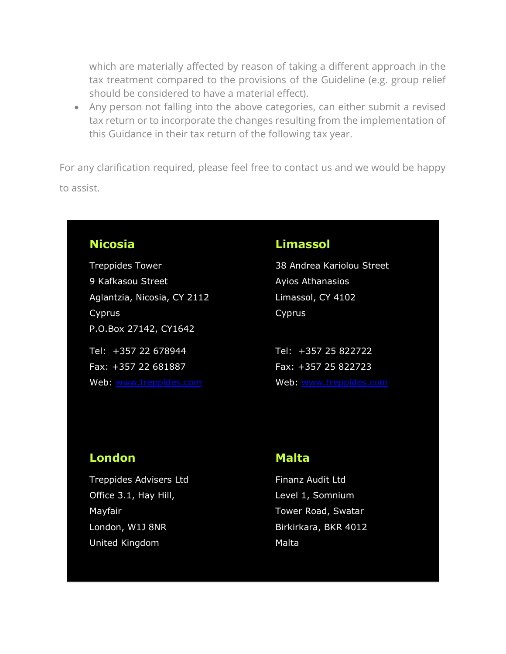which are materially affected by reason of taking a different approach in the tax treatment compared to the provisions of the Guideline (e.g. group relief should be considered to have a material effect).

 Any person not falling into the above categories, can either submit a revised tax return or to incorporate the changes resulting from the implementation of this Guidance in their tax return of the following tax year.

For any clarification required, please feel free to contact us and we would be happy to assist.

#### Nicosia

Treppides Tower 9 Kafkasou Street Aglantzia, Nicosia, CY 2112 Cyprus P.O.Box 27142, CY1642

Tel: +357 22 678944 Fax: +357 22 681887 Web: www.treppides.com

# Limassol

38 Andrea Kariolou Street Ayios Athanasios Limassol, CY 4102 Cyprus

Tel: +357 25 822722 Fax: +357 25 822723 Web: www.treppides.com

#### London

Treppides Advisers Ltd Office 3.1, Hay Hill, Mayfair London, W1J 8NR United Kingdom

#### Malta

Finanz Audit Ltd Level 1, Somnium Tower Road, Swatar Birkirkara, BKR 4012 Malta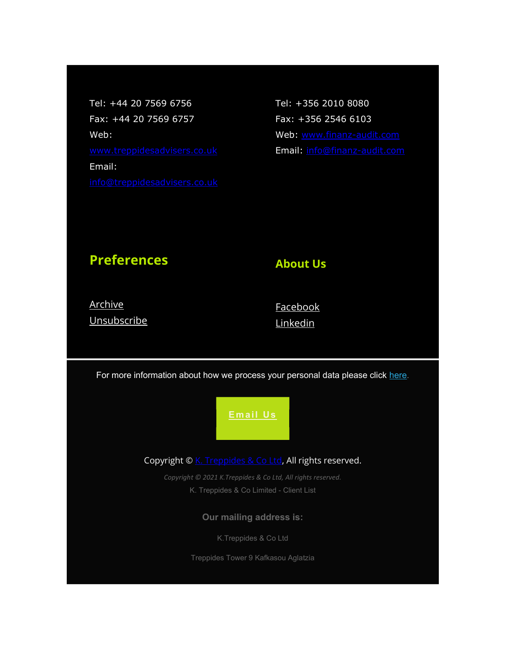Tel: +44 20 7569 6756 Fax: +44 20 7569 6757 Web: Email:

Tel: +356 2010 8080 Fax: +356 2546 6103 Web: www.finanz-audit.com Email: info@finanz-audit.com

# Preferences

#### About Us

Archive **Unsubscribe**  Facebook **Linkedin** 

For more information about how we process your personal data please click here.

#### Email Us

Copyright © K. Treppides & Co Ltd, All rights reserved.

Copyright © 2021 K.Treppides & Co Ltd, All rights reserved. K. Treppides & Co Limited - Client List

Our mailing address is:

K.Treppides & Co Ltd

Treppides Tower 9 Kafkasou Aglatzia